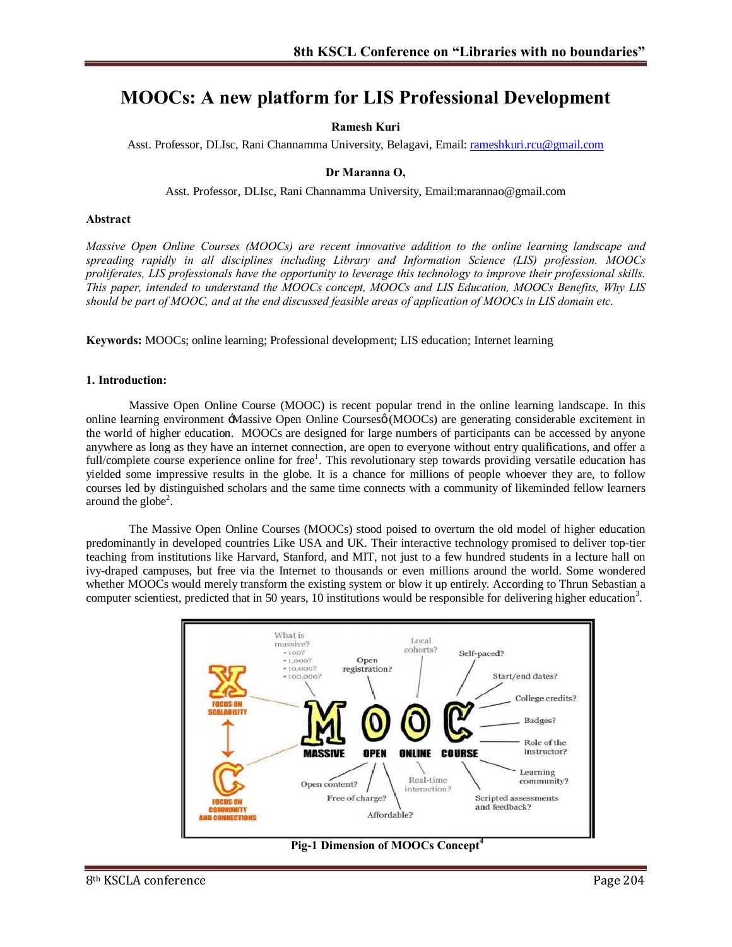# **MOOCs: A new platform for LIS Professional Development**

### **Ramesh Kuri**

Asst. Professor, DLIsc, Rani Channamma University, Belagavi, Email: r[ameshkuri.rcu@gmail.com](mailto:rameshkuri.rcu@gmail.com)

#### **Dr Maranna O,**

Asst. Professor, DLIsc, Rani Channamma University, Email:marannao@gmail.com

#### **Abstract**

*Massive Open Online Courses (MOOCs) are recent innovative addition to the online learning landscape and spreading rapidly in all disciplines including Library and Information Science (LIS) profession. MOOCs proliferates, LIS professionals have the opportunity to leverage this technology to improve their professional skills. This paper, intended to understand the MOOCs concept, MOOCs and LIS Education, MOOCs Benefits, Why LIS should be part of MOOC, and at the end discussed feasible areas of application of MOOCs in LIS domain etc.* 

**Keywords:** MOOCs; online learning; Professional development; LIS education; Internet learning

#### **1. Introduction:**

Massive Open Online Course (MOOC) is recent popular trend in the online learning landscape. In this online learning environment -Massive Open Online Courses (MOOCs) are generating considerable excitement in the world of higher education. MOOCs are designed for large numbers of participants can be accessed by anyone anywhere as long as they have an internet connection, are open to everyone without entry qualifications, and offer a full/complete course experience online for free<sup>1</sup>. This revolutionary step towards providing versatile education has yielded some impressive results in the globe. It is a chance for millions of people whoever they are, to follow courses led by distinguished scholars and the same time connects with a community of likeminded fellow learners around the globe<sup>2</sup>.

The Massive Open Online Courses (MOOCs) stood poised to overturn the old model of higher education predominantly in developed countries Like USA and UK. Their interactive technology promised to deliver top-tier teaching from institutions like Harvard, Stanford, and MIT, not just to a few hundred students in a lecture hall on ivy-draped campuses, but free via the Internet to thousands or even millions around the world. Some wondered whether MOOCs would merely transform the existing system or blow it up entirely. According to Thrun Sebastian a computer scientiest, predicted that in 50 years, 10 institutions would be responsible for delivering higher education<sup>3</sup>.



**Pig-1 Dimension of MOOCs Concept<sup>4</sup>**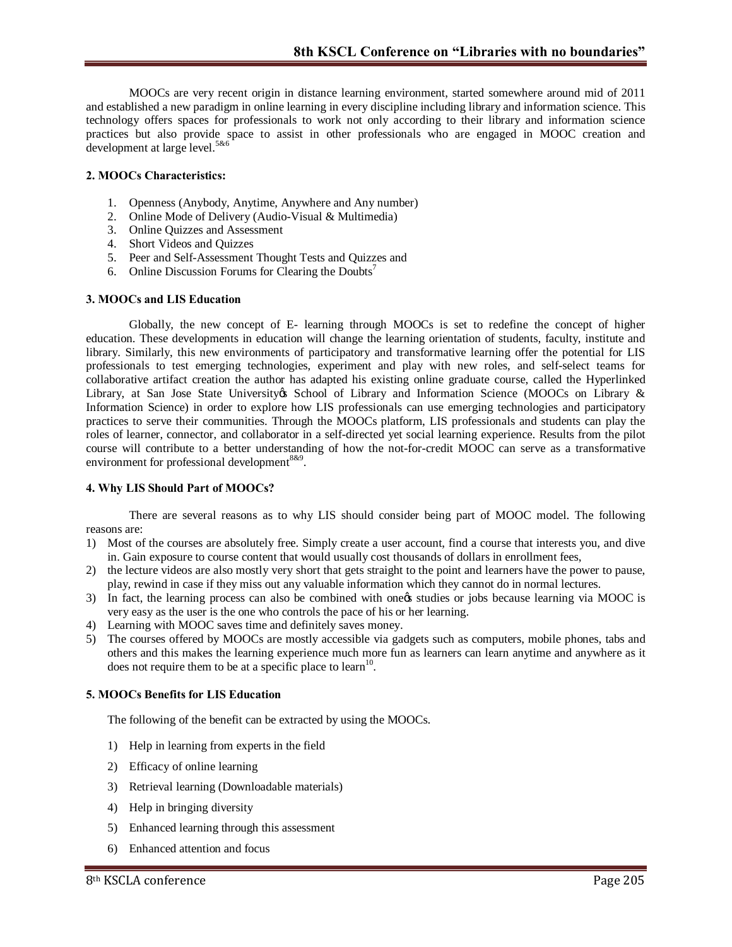MOOCs are very recent origin in distance learning environment, started somewhere around mid of 2011 and established a new paradigm in online learning in every discipline including library and information science. This technology offers spaces for professionals to work not only according to their library and information science practices but also provide space to assist in other professionals who are engaged in MOOC creation and development at large level.<sup>5&6</sup>

# **2. MOOCs Characteristics:**

- 1. Openness (Anybody, Anytime, Anywhere and Any number)
- 2. Online Mode of Delivery (Audio-Visual & Multimedia)
- 3. Online Quizzes and Assessment
- 4. Short Videos and Quizzes
- 5. Peer and Self-Assessment Thought Tests and Quizzes and
- 6. Online Discussion Forums for Clearing the Doubts<sup>7</sup>

#### **3. MOOCs and LIS Education**

Globally, the new concept of E- learning through MOOCs is set to redefine the concept of higher education. These developments in education will change the learning orientation of students, faculty, institute and library. Similarly, this new environments of participatory and transformative learning offer the potential for LIS professionals to test emerging technologies, experiment and play with new roles, and self-select teams for collaborative artifact creation the author has adapted his existing online graduate course, called the Hyperlinked Library, at San Jose State University & School of Library and Information Science (MOOCs on Library & Information Science) in order to explore how LIS professionals can use emerging technologies and participatory practices to serve their communities. Through the MOOCs platform, LIS professionals and students can play the roles of learner, connector, and collaborator in a self-directed yet social learning experience. Results from the pilot course will contribute to a better understanding of how the not-for-credit MOOC can serve as a transformative environment for professional development  $889$ .

#### **4. Why LIS Should Part of MOOCs?**

There are several reasons as to why LIS should consider being part of MOOC model. The following reasons are:

- 1) Most of the courses are absolutely free. Simply create a user account, find a course that interests you, and dive in. Gain exposure to course content that would usually cost thousands of dollars in enrollment fees,
- 2) the lecture videos are also mostly very short that gets straight to the point and learners have the power to pause, play, rewind in case if they miss out any valuable information which they cannot do in normal lectures.
- 3) In fact, the learning process can also be combined with one os studies or jobs because learning via MOOC is very easy as the user is the one who controls the pace of his or her learning.
- 4) Learning with MOOC saves time and definitely saves money.
- 5) The courses offered by MOOCs are mostly accessible via gadgets such as computers, mobile phones, tabs and others and this makes the learning experience much more fun as learners can learn anytime and anywhere as it does not require them to be at a specific place to learn<sup>10</sup>.

#### **5. MOOCs Benefits for LIS Education**

The following of the benefit can be extracted by using the MOOCs.

- 1) Help in learning from experts in the field
- 2) Efficacy of online learning
- 3) Retrieval learning (Downloadable materials)
- 4) Help in bringing diversity
- 5) Enhanced learning through this assessment
- 6) Enhanced attention and focus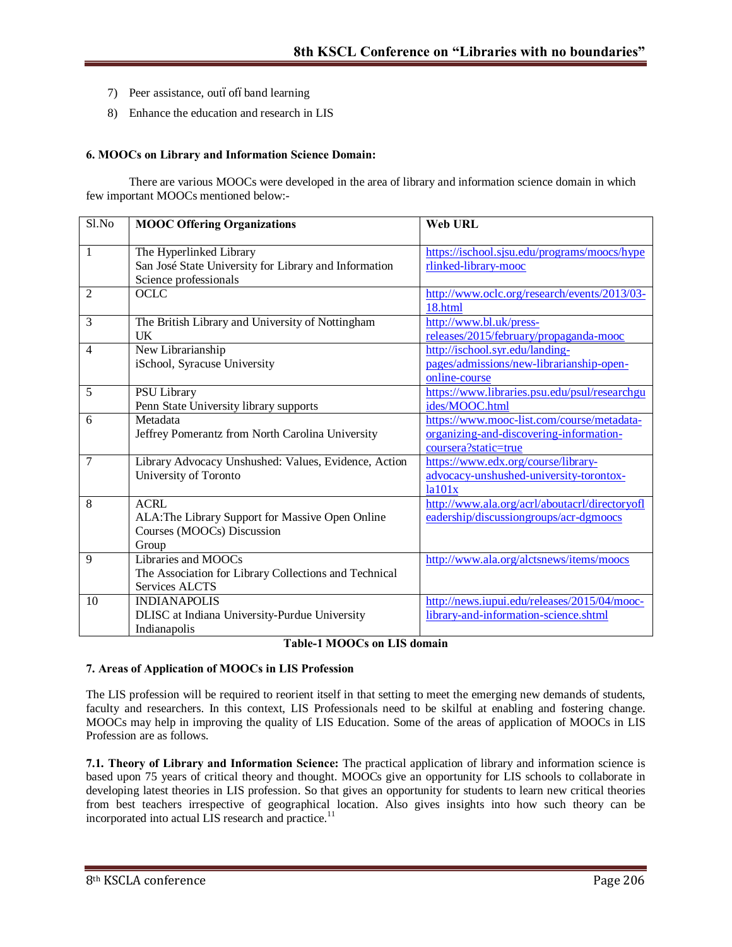- 7) Peer assistance, outóofóband learning
- 8) Enhance the education and research in LIS

#### **6. MOOCs on Library and Information Science Domain:**

There are various MOOCs were developed in the area of library and information science domain in which few important MOOCs mentioned below:-

| Sl.No        | <b>MOOC Offering Organizations</b>                    | <b>Web URL</b>                                 |
|--------------|-------------------------------------------------------|------------------------------------------------|
|              |                                                       |                                                |
| $\mathbf{1}$ | The Hyperlinked Library                               | https://ischool.sjsu.edu/programs/moocs/hype   |
|              | San José State University for Library and Information | rlinked-library-mooc                           |
|              | Science professionals                                 |                                                |
| 2            | <b>OCLC</b>                                           | http://www.oclc.org/research/events/2013/03-   |
|              |                                                       | 18.html                                        |
| 3            | The British Library and University of Nottingham      | http://www.bl.uk/press-                        |
|              | UK                                                    | releases/2015/february/propaganda-mooc         |
| 4            | New Librarianship                                     | http://ischool.syr.edu/landing-                |
|              | iSchool, Syracuse University                          | pages/admissions/new-librarianship-open-       |
|              |                                                       | online-course                                  |
| 5            | PSU Library                                           | https://www.libraries.psu.edu/psul/researchgu  |
|              | Penn State University library supports                | ides/MOOC.html                                 |
| 6            | Metadata                                              | https://www.mooc-list.com/course/metadata-     |
|              | Jeffrey Pomerantz from North Carolina University      | organizing-and-discovering-information-        |
|              |                                                       | coursera?static=true                           |
| 7            | Library Advocacy Unshushed: Values, Evidence, Action  | https://www.edx.org/course/library-            |
|              | University of Toronto                                 | advocacy-unshushed-university-torontox-        |
|              |                                                       | la101x                                         |
| 8            | <b>ACRL</b>                                           | http://www.ala.org/acrl/aboutacrl/directoryofl |
|              | ALA: The Library Support for Massive Open Online      | eadership/discussiongroups/acr-dgmoocs         |
|              | Courses (MOOCs) Discussion                            |                                                |
|              | Group                                                 |                                                |
| 9            | Libraries and MOOCs                                   | http://www.ala.org/alctsnews/items/moocs       |
|              | The Association for Library Collections and Technical |                                                |
|              | <b>Services ALCTS</b>                                 |                                                |
| 10           | <b>INDIANAPOLIS</b>                                   | http://news.iupui.edu/releases/2015/04/mooc-   |
|              | DLISC at Indiana University-Purdue University         | library-and-information-science.shtml          |
|              | Indianapolis                                          |                                                |

#### **Table-1 MOOCs on LIS domain**

#### **7. Areas of Application of MOOCs in LIS Profession**

The LIS profession will be required to reorient itself in that setting to meet the emerging new demands of students, faculty and researchers. In this context, LIS Professionals need to be skilful at enabling and fostering change. MOOCs may help in improving the quality of LIS Education. Some of the areas of application of MOOCs in LIS Profession are as follows.

**7.1. Theory of Library and Information Science:** The practical application of library and information science is based upon 75 years of critical theory and thought. MOOCs give an opportunity for LIS schools to collaborate in developing latest theories in LIS profession. So that gives an opportunity for students to learn new critical theories from best teachers irrespective of geographical location. Also gives insights into how such theory can be incorporated into actual LIS research and practice.<sup>11</sup>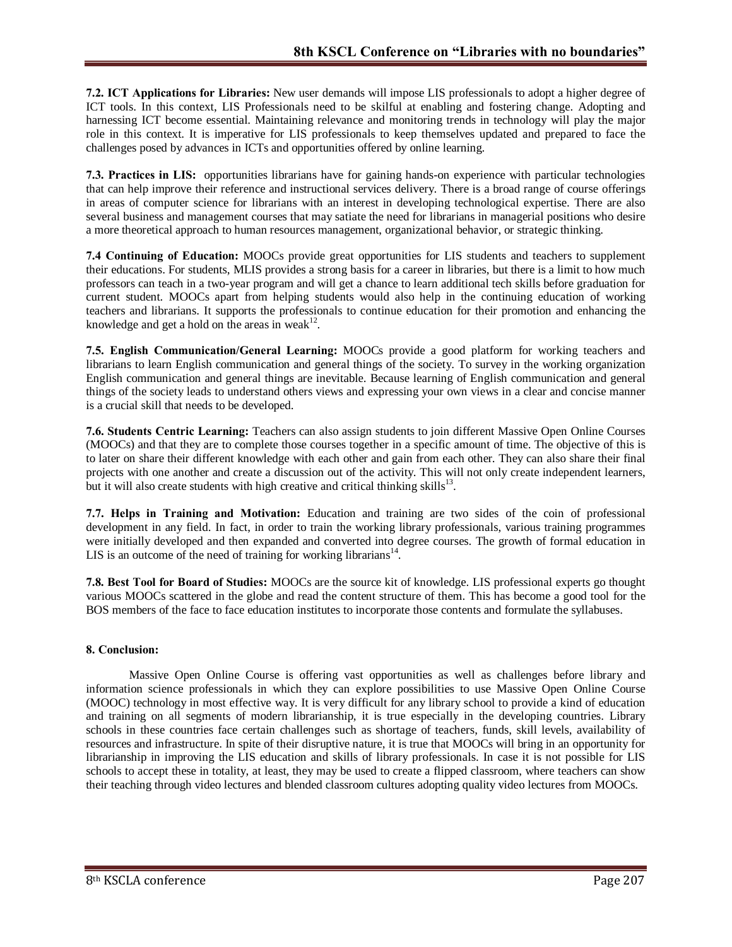**7.2. ICT Applications for Libraries:** New user demands will impose LIS professionals to adopt a higher degree of ICT tools. In this context, LIS Professionals need to be skilful at enabling and fostering change. Adopting and harnessing ICT become essential. Maintaining relevance and monitoring trends in technology will play the major role in this context. It is imperative for LIS professionals to keep themselves updated and prepared to face the challenges posed by advances in ICTs and opportunities offered by online learning.

**7.3. Practices in LIS:** opportunities librarians have for gaining hands-on experience with particular technologies that can help improve their reference and instructional services delivery. There is a broad range of course offerings in areas of computer science for librarians with an interest in developing technological expertise. There are also several business and management courses that may satiate the need for librarians in managerial positions who desire a more theoretical approach to human resources management, organizational behavior, or strategic thinking.

**7.4 Continuing of Education:** MOOCs provide great opportunities for LIS students and teachers to supplement their educations. For students, MLIS provides a strong basis for a career in libraries, but there is a limit to how much professors can teach in a two-year program and will get a chance to learn additional tech skills before graduation for current student. MOOCs apart from helping students would also help in the continuing education of working teachers and librarians. It supports the professionals to continue education for their promotion and enhancing the knowledge and get a hold on the areas in weak $12$ .

**7.5. English Communication/General Learning:** MOOCs provide a good platform for working teachers and librarians to learn English communication and general things of the society. To survey in the working organization English communication and general things are inevitable. Because learning of English communication and general things of the society leads to understand others views and expressing your own views in a clear and concise manner is a crucial skill that needs to be developed.

**7.6. Students Centric Learning:** Teachers can also assign students to join different Massive Open Online Courses (MOOCs) and that they are to complete those courses together in a specific amount of time. The objective of this is to later on share their different knowledge with each other and gain from each other. They can also share their final projects with one another and create a discussion out of the activity. This will not only create independent learners, but it will also create students with high creative and critical thinking skills<sup>13</sup>.

**7.7. Helps in Training and Motivation:** Education and training are two sides of the coin of professional development in any field. In fact, in order to train the working library professionals, various training programmes were initially developed and then expanded and converted into degree courses. The growth of formal education in LIS is an outcome of the need of training for working librarians<sup>14</sup>.

**7.8. Best Tool for Board of Studies:** MOOCs are the source kit of knowledge. LIS professional experts go thought various MOOCs scattered in the globe and read the content structure of them. This has become a good tool for the BOS members of the face to face education institutes to incorporate those contents and formulate the syllabuses.

## **8. Conclusion:**

Massive Open Online Course is offering vast opportunities as well as challenges before library and information science professionals in which they can explore possibilities to use Massive Open Online Course (MOOC) technology in most effective way. It is very difficult for any library school to provide a kind of education and training on all segments of modern librarianship, it is true especially in the developing countries. Library schools in these countries face certain challenges such as shortage of teachers, funds, skill levels, availability of resources and infrastructure. In spite of their disruptive nature, it is true that MOOCs will bring in an opportunity for librarianship in improving the LIS education and skills of library professionals. In case it is not possible for LIS schools to accept these in totality, at least, they may be used to create a flipped classroom, where teachers can show their teaching through video lectures and blended classroom cultures adopting quality video lectures from MOOCs.